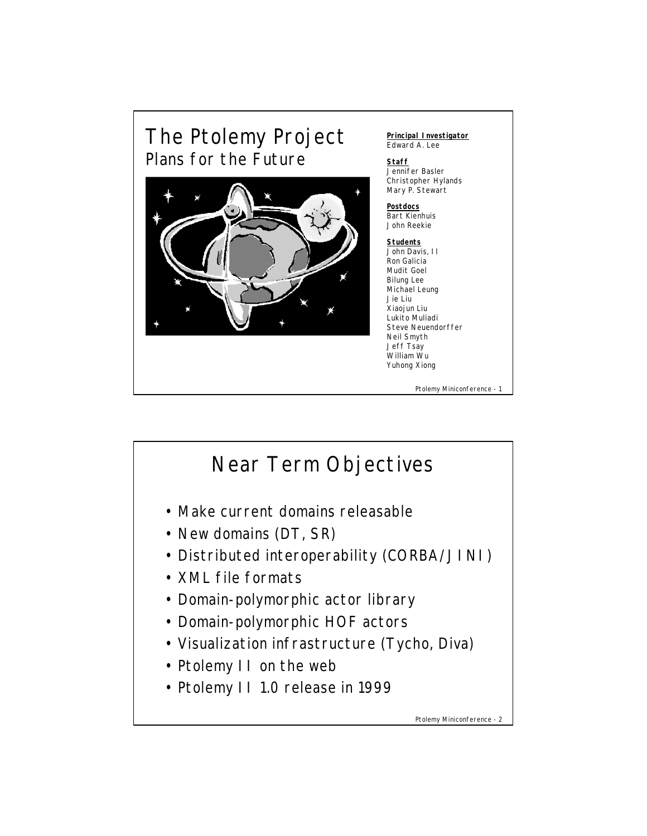

## Near Term Objectives • Make current domains releasable • New domains (DT, SR) • Distributed interoperability (CORBA/JINI) • XML file formats • Domain-polymorphic actor library • Domain-polymorphic HOF actors • Visualization infrastructure (Tycho, Diva) • Ptolemy II on the web • Ptolemy II 1.0 release in 1999

Ptolemy Miniconference - 2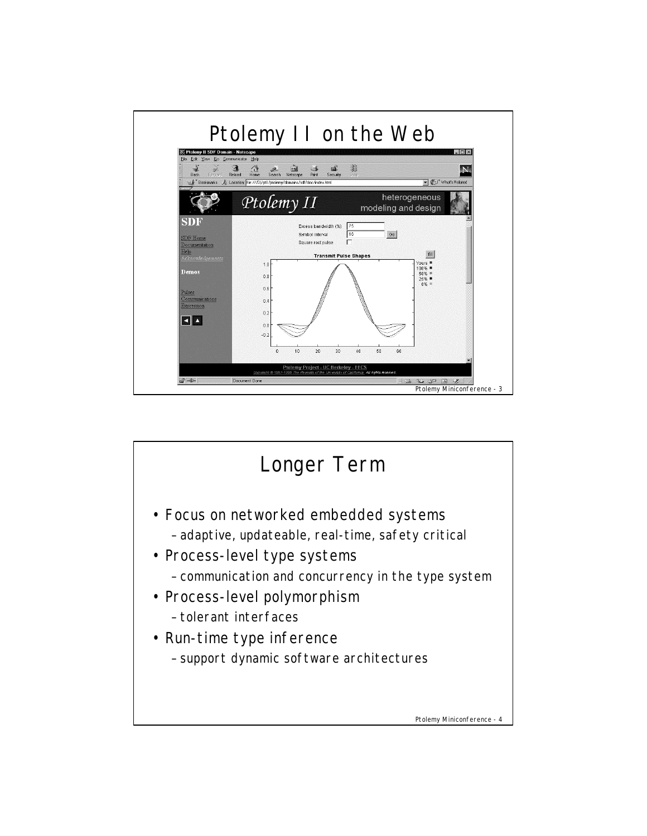

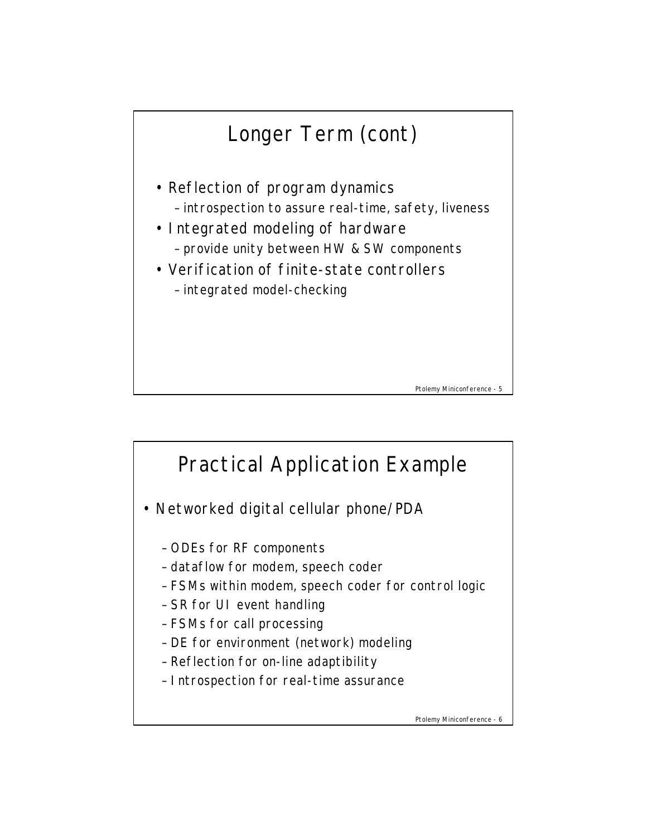## Longer Term (cont)

- Reflection of program dynamics – introspection to assure real-time, safety, liveness
- Integrated modeling of hardware – provide unity between HW & SW components
- Verification of finite-state controllers – integrated model-checking





Ptolemy Miniconference - 6